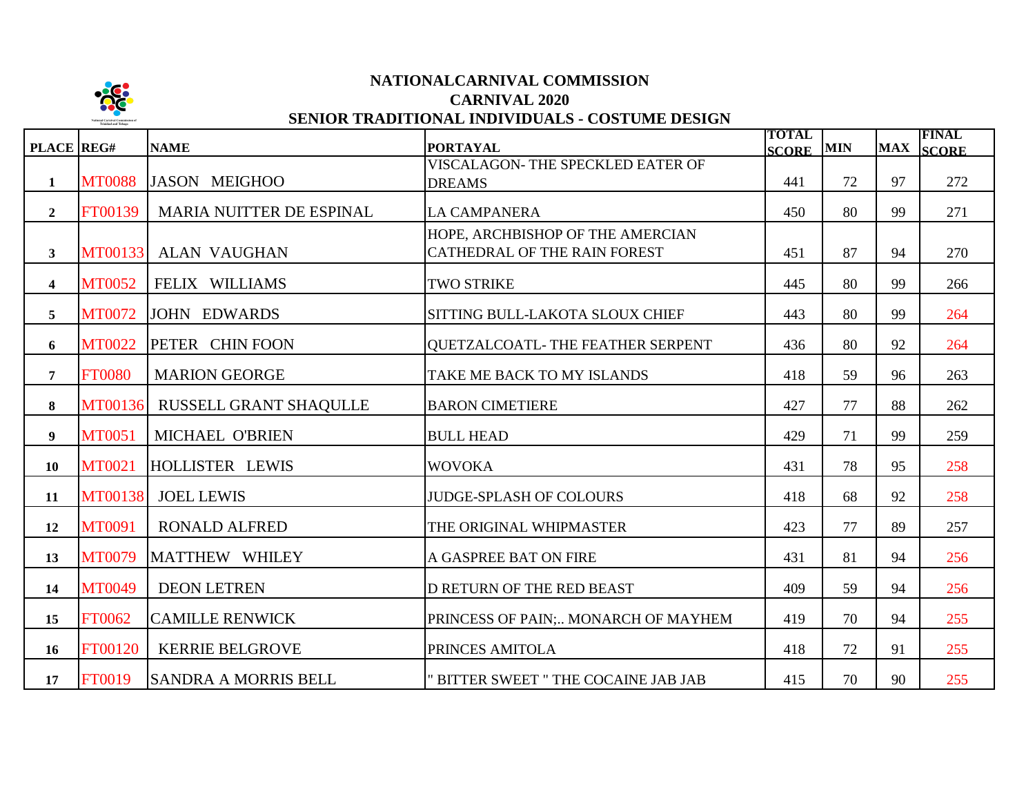

# **NATIONALCARNIVAL COMMISSION CARNIVAL 2020 SENIOR TRADITIONAL INDIVIDUALS - COSTUME DESIGN**

| PLACE REG#              |                | <b>NAME</b>                     | <b>PORTAYAL</b>                                                  | <b>TOTAL</b><br><b>SCORE</b> | <b>MIN</b> | <b>MAX</b> | <b>FINAL</b><br><b>SCORE</b> |
|-------------------------|----------------|---------------------------------|------------------------------------------------------------------|------------------------------|------------|------------|------------------------------|
| 1                       | <b>MT0088</b>  | JASON MEIGHOO                   | VISCALAGON- THE SPECKLED EATER OF<br><b>DREAMS</b>               | 441                          | 72         | 97         | 272                          |
| $\overline{2}$          | FT00139        | <b>MARIA NUITTER DE ESPINAL</b> | <b>LA CAMPANERA</b>                                              | 450                          | 80         | 99         | 271                          |
| $\mathbf{3}$            | <b>MT00133</b> | <b>ALAN VAUGHAN</b>             | HOPE, ARCHBISHOP OF THE AMERCIAN<br>CATHEDRAL OF THE RAIN FOREST | 451                          | 87         | 94         | 270                          |
| $\overline{\mathbf{4}}$ | <b>MT0052</b>  | FELIX WILLIAMS                  | <b>TWO STRIKE</b>                                                | 445                          | 80         | 99         | 266                          |
| 5                       | <b>MT0072</b>  | <b>JOHN EDWARDS</b>             | SITTING BULL-LAKOTA SLOUX CHIEF                                  | 443                          | 80         | 99         | 264                          |
| 6                       | <b>MT0022</b>  | PETER CHIN FOON                 | QUETZALCOATL-THE FEATHER SERPENT                                 | 436                          | 80         | 92         | 264                          |
| $\overline{7}$          | <b>FT0080</b>  | <b>MARION GEORGE</b>            | TAKE ME BACK TO MY ISLANDS                                       | 418                          | 59         | 96         | 263                          |
| 8                       | <b>MT00136</b> | RUSSELL GRANT SHAQULLE          | <b>BARON CIMETIERE</b>                                           | 427                          | 77         | 88         | 262                          |
| 9                       | <b>MT0051</b>  | MICHAEL O'BRIEN                 | <b>BULL HEAD</b>                                                 | 429                          | 71         | 99         | 259                          |
| 10                      | <b>MT0021</b>  | HOLLISTER LEWIS                 | <b>WOVOKA</b>                                                    | 431                          | 78         | 95         | 258                          |
| 11                      | <b>MT00138</b> | <b>JOEL LEWIS</b>               | <b>JUDGE-SPLASH OF COLOURS</b>                                   | 418                          | 68         | 92         | 258                          |
| 12                      | MT0091         | <b>RONALD ALFRED</b>            | THE ORIGINAL WHIPMASTER                                          | 423                          | 77         | 89         | 257                          |
| 13                      | <b>MT0079</b>  | MATTHEW WHILEY                  | A GASPREE BAT ON FIRE                                            | 431                          | 81         | 94         | 256                          |
| 14                      | <b>MT0049</b>  | <b>DEON LETREN</b>              | D RETURN OF THE RED BEAST                                        | 409                          | 59         | 94         | 256                          |
| 15                      | FT0062         | <b>CAMILLE RENWICK</b>          | PRINCESS OF PAIN; MONARCH OF MAYHEM                              | 419                          | 70         | 94         | 255                          |
| 16                      | FT00120        | <b>KERRIE BELGROVE</b>          | PRINCES AMITOLA                                                  | 418                          | 72         | 91         | 255                          |
| 17                      | FT0019         | ISANDRA A MORRIS BELL           | " BITTER SWEET " THE COCAINE JAB JAB                             | 415                          | 70         | 90         | 255                          |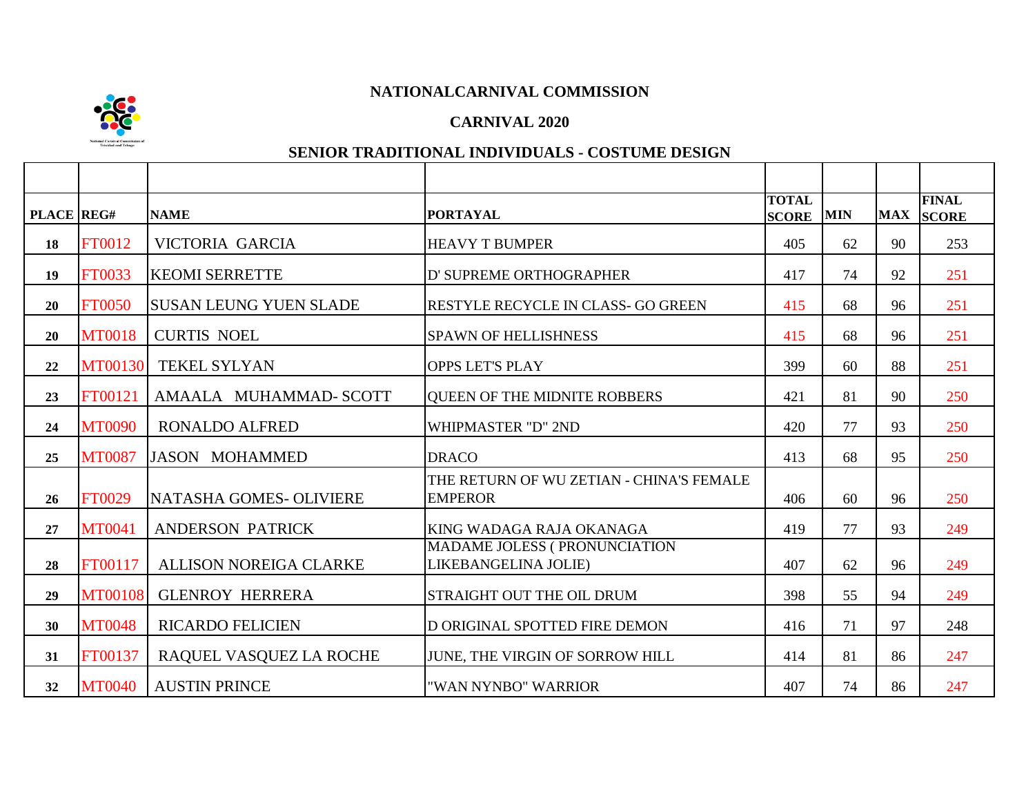

#### **CARNIVAL 2020**

| PLACE REG# |                | <b>NAME</b>                   | <b>PORTAYAL</b>                                              | <b>TOTAL</b><br><b>SCORE</b> | <b>MIN</b> | <b>MAX</b> | <b>FINAL</b><br><b>SCORE</b> |
|------------|----------------|-------------------------------|--------------------------------------------------------------|------------------------------|------------|------------|------------------------------|
| 18         | FT0012         | VICTORIA GARCIA               | <b>HEAVY T BUMPER</b>                                        | 405                          | 62         | 90         | 253                          |
| 19         | FT0033         | <b>KEOMI SERRETTE</b>         | D' SUPREME ORTHOGRAPHER                                      | 417                          | 74         | 92         | 251                          |
| 20         | <b>FT0050</b>  | <b>SUSAN LEUNG YUEN SLADE</b> | <b>RESTYLE RECYCLE IN CLASS- GO GREEN</b>                    | 415                          | 68         | 96         | 251                          |
| 20         | <b>MT0018</b>  | <b>CURTIS NOEL</b>            | <b>SPAWN OF HELLISHNESS</b>                                  | 415                          | 68         | 96         | 251                          |
| 22         | <b>MT00130</b> | TEKEL SYLYAN                  | <b>OPPS LET'S PLAY</b>                                       | 399                          | 60         | 88         | 251                          |
| 23         | FT00121        | AMAALA MUHAMMAD- SCOTT        | <b>QUEEN OF THE MIDNITE ROBBERS</b>                          | 421                          | 81         | 90         | 250                          |
| 24         | <b>MT0090</b>  | <b>RONALDO ALFRED</b>         | <b>WHIPMASTER "D" 2ND</b>                                    | 420                          | 77         | 93         | 250                          |
| 25         | <b>MT0087</b>  | <b>JASON MOHAMMED</b>         | <b>DRACO</b>                                                 | 413                          | 68         | 95         | 250                          |
| 26         | FT0029         | NATASHA GOMES- OLIVIERE       | THE RETURN OF WU ZETIAN - CHINA'S FEMALE<br><b>EMPEROR</b>   | 406                          | 60         | 96         | 250                          |
| 27         | <b>MT0041</b>  | <b>ANDERSON PATRICK</b>       | KING WADAGA RAJA OKANAGA                                     | 419                          | 77         | 93         | 249                          |
| 28         | FT00117        | <b>ALLISON NOREIGA CLARKE</b> | <b>MADAME JOLESS ( PRONUNCIATION</b><br>LIKEBANGELINA JOLIE) | 407                          | 62         | 96         | 249                          |
| 29         | <b>MT00108</b> | <b>GLENROY HERRERA</b>        | <b>STRAIGHT OUT THE OIL DRUM</b>                             | 398                          | 55         | 94         | 249                          |
| 30         | <b>MT0048</b>  | <b>RICARDO FELICIEN</b>       | D ORIGINAL SPOTTED FIRE DEMON                                | 416                          | 71         | 97         | 248                          |
| 31         | FT00137        | RAQUEL VASQUEZ LA ROCHE       | JUNE, THE VIRGIN OF SORROW HILL                              | 414                          | 81         | 86         | 247                          |
| 32         | <b>MT0040</b>  | <b>AUSTIN PRINCE</b>          | "WAN NYNBO" WARRIOR                                          | 407                          | 74         | 86         | 247                          |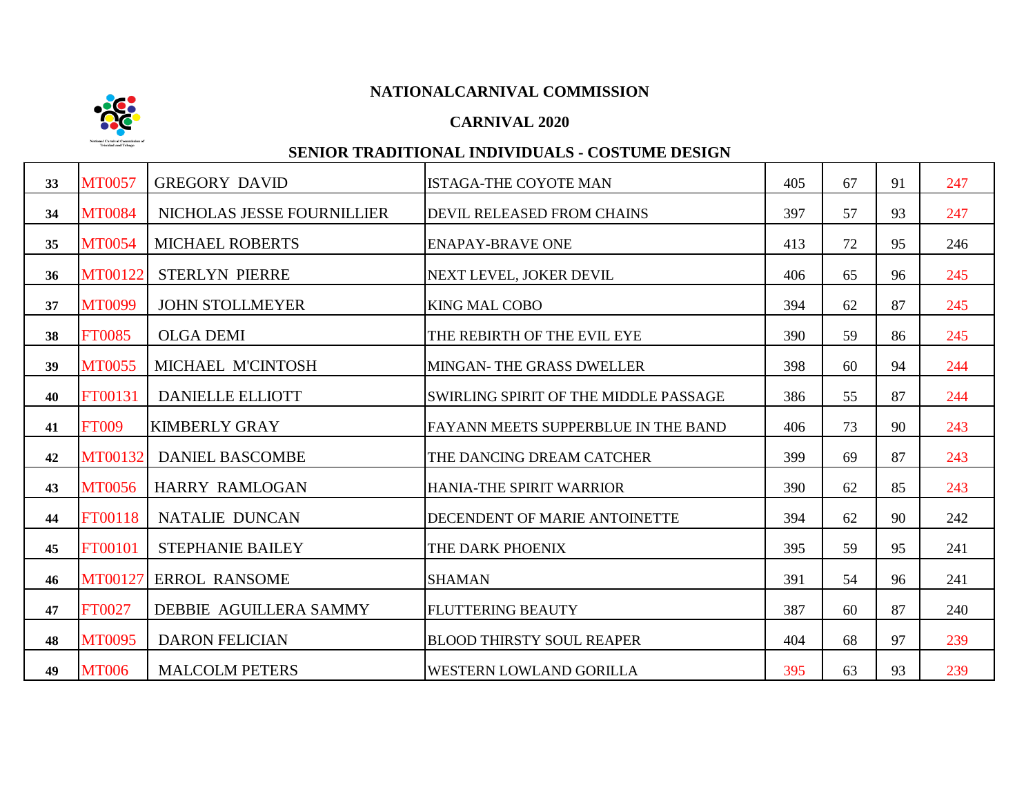## **CARNIVAL 2020**

| 33 | <b>MT0057</b> | <b>GREGORY DAVID</b>       | <b>ISTAGA-THE COYOTE MAN</b>          | 405 | 67 | 91 | 247 |
|----|---------------|----------------------------|---------------------------------------|-----|----|----|-----|
| 34 | <b>MT0084</b> | NICHOLAS JESSE FOURNILLIER | <b>DEVIL RELEASED FROM CHAINS</b>     | 397 | 57 | 93 | 247 |
| 35 | <b>MT0054</b> | <b>MICHAEL ROBERTS</b>     | <b>ENAPAY-BRAVE ONE</b>               | 413 | 72 | 95 | 246 |
| 36 | MT00122       | <b>STERLYN PIERRE</b>      | NEXT LEVEL, JOKER DEVIL               | 406 | 65 | 96 | 245 |
| 37 | <b>MT0099</b> | <b>JOHN STOLLMEYER</b>     | <b>KING MAL COBO</b>                  | 394 | 62 | 87 | 245 |
| 38 | <b>FT0085</b> | <b>OLGA DEMI</b>           | THE REBIRTH OF THE EVIL EYE           | 390 | 59 | 86 | 245 |
| 39 | <b>MT0055</b> | MICHAEL M'CINTOSH          | MINGAN-THE GRASS DWELLER              | 398 | 60 | 94 | 244 |
| 40 | FT00131       | <b>DANIELLE ELLIOTT</b>    | SWIRLING SPIRIT OF THE MIDDLE PASSAGE | 386 | 55 | 87 | 244 |
| 41 | <b>FT009</b>  | <b>KIMBERLY GRAY</b>       | FAYANN MEETS SUPPERBLUE IN THE BAND   | 406 | 73 | 90 | 243 |
| 42 | MT00132       | <b>DANIEL BASCOMBE</b>     | THE DANCING DREAM CATCHER             | 399 | 69 | 87 | 243 |
| 43 | <b>MT0056</b> | <b>HARRY RAMLOGAN</b>      | <b>HANIA-THE SPIRIT WARRIOR</b>       | 390 | 62 | 85 | 243 |
| 44 | FT00118       | <b>NATALIE DUNCAN</b>      | <b>DECENDENT OF MARIE ANTOINETTE</b>  | 394 | 62 | 90 | 242 |
| 45 | FT00101       | <b>STEPHANIE BAILEY</b>    | THE DARK PHOENIX                      | 395 | 59 | 95 | 241 |
| 46 | MT00127       | <b>ERROL RANSOME</b>       | <b>SHAMAN</b>                         | 391 | 54 | 96 | 241 |
| 47 | FT0027        | DEBBIE AGUILLERA SAMMY     | <b>FLUTTERING BEAUTY</b>              | 387 | 60 | 87 | 240 |
| 48 | <b>MT0095</b> | <b>DARON FELICIAN</b>      | <b>BLOOD THIRSTY SOUL REAPER</b>      | 404 | 68 | 97 | 239 |
| 49 | <b>MT006</b>  | <b>MALCOLM PETERS</b>      | <b>WESTERN LOWLAND GORILLA</b>        | 395 | 63 | 93 | 239 |

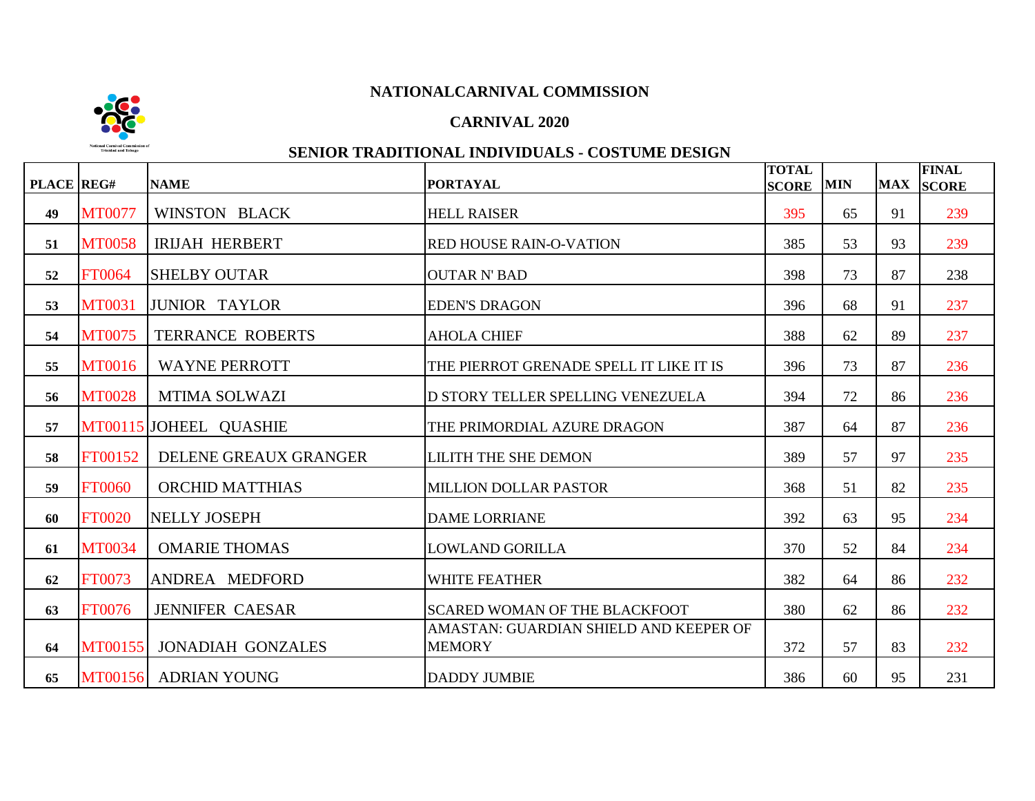## **CARNIVAL 2020**



| PLACE REG# |               | <b>NAME</b>               | <b>PORTAYAL</b>                                         | <b>TOTAL</b><br><b>SCORE</b> | <b>MIN</b> | <b>MAX</b> | <b>FINAL</b><br><b>SCORE</b> |
|------------|---------------|---------------------------|---------------------------------------------------------|------------------------------|------------|------------|------------------------------|
| 49         | <b>MT0077</b> | WINSTON BLACK             | <b>HELL RAISER</b>                                      | 395                          | 65         | 91         | 239                          |
| 51         | <b>MT0058</b> | <b>IRIJAH HERBERT</b>     | <b>RED HOUSE RAIN-O-VATION</b>                          | 385                          | 53         | 93         | 239                          |
| 52         | <b>FT0064</b> | <b>SHELBY OUTAR</b>       | <b>OUTAR N' BAD</b>                                     | 398                          | 73         | 87         | 238                          |
| 53         | <b>MT0031</b> | <b>JUNIOR TAYLOR</b>      | <b>EDEN'S DRAGON</b>                                    | 396                          | 68         | 91         | 237                          |
| 54         | <b>MT0075</b> | <b>TERRANCE ROBERTS</b>   | <b>AHOLA CHIEF</b>                                      | 388                          | 62         | 89         | 237                          |
| 55         | <b>MT0016</b> | <b>WAYNE PERROTT</b>      | THE PIERROT GRENADE SPELL IT LIKE IT IS                 | 396                          | 73         | 87         | 236                          |
| 56         | <b>MT0028</b> | <b>MTIMA SOLWAZI</b>      | D STORY TELLER SPELLING VENEZUELA                       | 394                          | 72         | 86         | 236                          |
| 57         |               | MT00115 JOHEEL QUASHIE    | THE PRIMORDIAL AZURE DRAGON                             | 387                          | 64         | 87         | 236                          |
| 58         | FT00152       | DELENE GREAUX GRANGER     | <b>LILITH THE SHE DEMON</b>                             | 389                          | 57         | 97         | 235                          |
| 59         | <b>FT0060</b> | ORCHID MATTHIAS           | <b>MILLION DOLLAR PASTOR</b>                            | 368                          | 51         | 82         | 235                          |
| 60         | <b>FT0020</b> | <b>NELLY JOSEPH</b>       | <b>DAME LORRIANE</b>                                    | 392                          | 63         | 95         | 234                          |
| 61         | <b>MT0034</b> | <b>OMARIE THOMAS</b>      | <b>LOWLAND GORILLA</b>                                  | 370                          | 52         | 84         | 234                          |
| 62         | FT0073        | ANDREA MEDFORD            | <b>WHITE FEATHER</b>                                    | 382                          | 64         | 86         | 232                          |
| 63         | <b>FT0076</b> | <b>JENNIFER CAESAR</b>    | <b>SCARED WOMAN OF THE BLACKFOOT</b>                    | 380                          | 62         | 86         | 232                          |
| 64         |               | MT00155 JONADIAH GONZALES | AMASTAN: GUARDIAN SHIELD AND KEEPER OF<br><b>MEMORY</b> | 372                          | 57         | 83         | 232                          |
| 65         |               | MT00156 ADRIAN YOUNG      | <b>DADDY JUMBIE</b>                                     | 386                          | 60         | 95         | 231                          |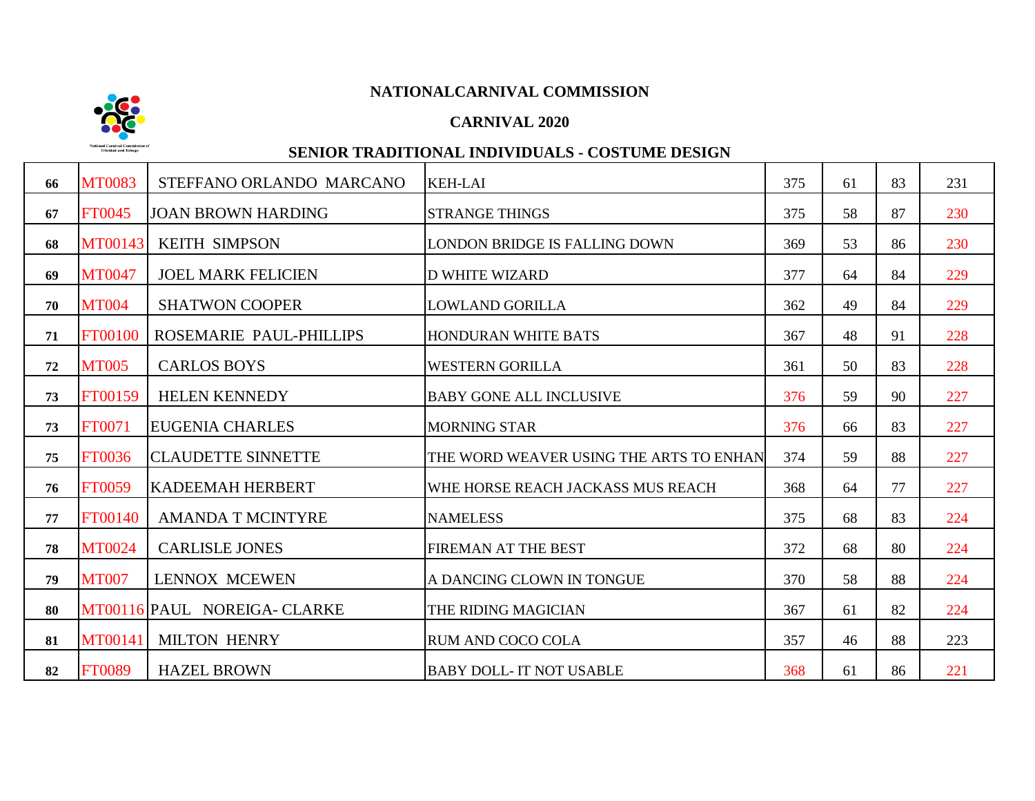## **CARNIVAL 2020**



| 66 | <b>MT0083</b>  | STEFFANO ORLANDO MARCANO     | <b>KEH-LAI</b>                          | 375 | 61 | 83 | 231 |
|----|----------------|------------------------------|-----------------------------------------|-----|----|----|-----|
| 67 | FT0045         | <b>JOAN BROWN HARDING</b>    | <b>STRANGE THINGS</b>                   | 375 | 58 | 87 | 230 |
| 68 | <b>MT00143</b> | <b>KEITH SIMPSON</b>         | LONDON BRIDGE IS FALLING DOWN           | 369 | 53 | 86 | 230 |
| 69 | <b>MT0047</b>  | <b>JOEL MARK FELICIEN</b>    | <b>D WHITE WIZARD</b>                   | 377 | 64 | 84 | 229 |
| 70 | <b>MT004</b>   | <b>SHATWON COOPER</b>        | <b>LOWLAND GORILLA</b>                  | 362 | 49 | 84 | 229 |
| 71 | FT00100        | ROSEMARIE PAUL-PHILLIPS      | <b>HONDURAN WHITE BATS</b>              | 367 | 48 | 91 | 228 |
| 72 | <b>MT005</b>   | <b>CARLOS BOYS</b>           | <b>WESTERN GORILLA</b>                  | 361 | 50 | 83 | 228 |
| 73 | FT00159        | <b>HELEN KENNEDY</b>         | <b>BABY GONE ALL INCLUSIVE</b>          | 376 | 59 | 90 | 227 |
| 73 | FT0071         | <b>EUGENIA CHARLES</b>       | <b>MORNING STAR</b>                     | 376 | 66 | 83 | 227 |
| 75 | FT0036         | <b>CLAUDETTE SINNETTE</b>    | THE WORD WEAVER USING THE ARTS TO ENHAN | 374 | 59 | 88 | 227 |
| 76 | <b>FT0059</b>  | <b>KADEEMAH HERBERT</b>      | WHE HORSE REACH JACKASS MUS REACH       | 368 | 64 | 77 | 227 |
| 77 | FT00140        | <b>AMANDA T MCINTYRE</b>     | <b>NAMELESS</b>                         | 375 | 68 | 83 | 224 |
| 78 | <b>MT0024</b>  | <b>CARLISLE JONES</b>        | FIREMAN AT THE BEST                     | 372 | 68 | 80 | 224 |
| 79 | <b>MT007</b>   | <b>LENNOX MCEWEN</b>         | A DANCING CLOWN IN TONGUE               | 370 | 58 | 88 | 224 |
| 80 |                | MT00116 PAUL NOREIGA- CLARKE | THE RIDING MAGICIAN                     | 367 | 61 | 82 | 224 |
| 81 | <b>MT00141</b> | <b>MILTON HENRY</b>          | <b>RUM AND COCO COLA</b>                | 357 | 46 | 88 | 223 |
| 82 | <b>FT0089</b>  | <b>HAZEL BROWN</b>           | <b>BABY DOLL- IT NOT USABLE</b>         | 368 | 61 | 86 | 221 |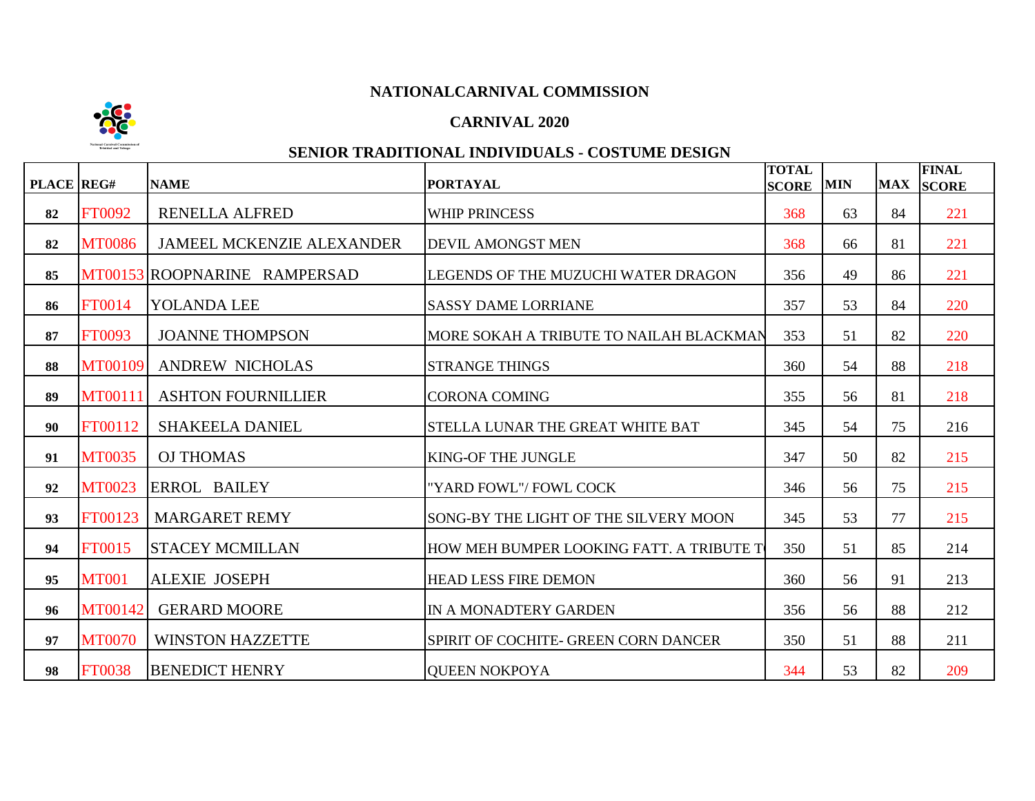

### **CARNIVAL 2020**

| PLACE REG# |                | <b>NAME</b>                      | <b>PORTAYAL</b>                          | <b>TOTAL</b><br><b>SCORE</b> | <b>MIN</b> | <b>MAX</b> | <b>FINAL</b><br><b>SCORE</b> |
|------------|----------------|----------------------------------|------------------------------------------|------------------------------|------------|------------|------------------------------|
| 82         | FT0092         | <b>RENELLA ALFRED</b>            | <b>WHIP PRINCESS</b>                     | 368                          | 63         | 84         | 221                          |
| 82         | <b>MT0086</b>  | <b>JAMEEL MCKENZIE ALEXANDER</b> | <b>DEVIL AMONGST MEN</b>                 | 368                          | 66         | 81         | 221                          |
| 85         |                | MT00153 ROOPNARINE RAMPERSAD     | LEGENDS OF THE MUZUCHI WATER DRAGON      | 356                          | 49         | 86         | 221                          |
| 86         | <b>FT0014</b>  | YOLANDA LEE                      | <b>SASSY DAME LORRIANE</b>               | 357                          | 53         | 84         | 220                          |
| 87         | <b>FT0093</b>  | <b>JOANNE THOMPSON</b>           | MORE SOKAH A TRIBUTE TO NAILAH BLACKMAN  | 353                          | 51         | 82         | 220                          |
| 88         | MT00109        | <b>ANDREW NICHOLAS</b>           | <b>STRANGE THINGS</b>                    | 360                          | 54         | 88         | 218                          |
| 89         | <b>MT00111</b> | <b>ASHTON FOURNILLIER</b>        | <b>CORONA COMING</b>                     | 355                          | 56         | 81         | 218                          |
| 90         | FT00112        | <b>SHAKEELA DANIEL</b>           | STELLA LUNAR THE GREAT WHITE BAT         | 345                          | 54         | 75         | 216                          |
| 91         | <b>MT0035</b>  | <b>OJ THOMAS</b>                 | KING-OF THE JUNGLE                       | 347                          | 50         | 82         | 215                          |
| 92         | <b>MT0023</b>  | <b>ERROL BAILEY</b>              | "YARD FOWL"/ FOWL COCK                   | 346                          | 56         | 75         | 215                          |
| 93         | FT00123        | <b>MARGARET REMY</b>             | SONG-BY THE LIGHT OF THE SILVERY MOON    | 345                          | 53         | 77         | 215                          |
| 94         | <b>FT0015</b>  | <b>STACEY MCMILLAN</b>           | HOW MEH BUMPER LOOKING FATT. A TRIBUTE T | 350                          | 51         | 85         | 214                          |
| 95         | <b>MT001</b>   | <b>ALEXIE JOSEPH</b>             | <b>HEAD LESS FIRE DEMON</b>              | 360                          | 56         | 91         | 213                          |
| 96         | MT00142        | <b>GERARD MOORE</b>              | IN A MONADTERY GARDEN                    | 356                          | 56         | 88         | 212                          |
| 97         | <b>MT0070</b>  | <b>WINSTON HAZZETTE</b>          | SPIRIT OF COCHITE- GREEN CORN DANCER     | 350                          | 51         | 88         | 211                          |
| 98         | <b>FT0038</b>  | <b>BENEDICT HENRY</b>            | <b>OUEEN NOKPOYA</b>                     | 344                          | 53         | 82         | 209                          |